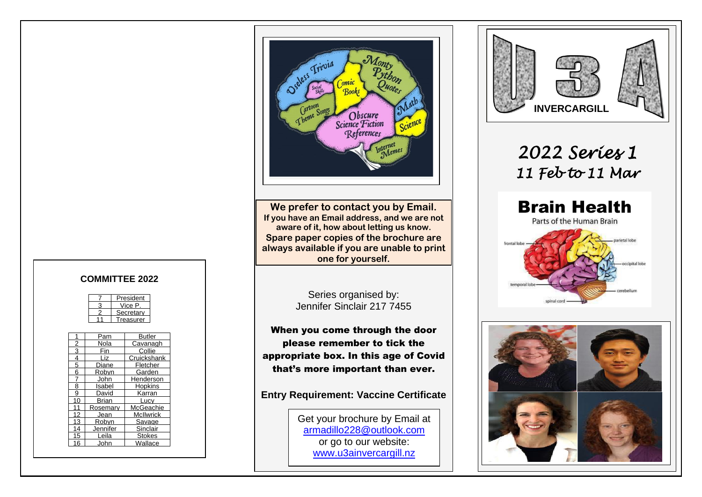

**We prefer to contact you by Email. If you have an Email address, and we are not aware of it, how about letting us know. Spare paper copies of the brochure are always available if you are unable to print one for yourself.**

> Series organised by: Jennifer Sinclair 217 7455

When you come through the door please remember to tick the appropriate box. In this age of Covid that's more important than ever.

**Entry Requirement: Vaccine Certificate**

Get your brochure by Email at [armadillo228@outlook.com](mailto:armadillo228@outlook.com) or go to our website: [www.u3ainvercargill.nz](http://www.u3ainvercargill.nz/)





#### **COMMITTEE 2022**

| President |
|-----------|
| Vice P    |
| Secretary |
| reasurer  |

|    | Pam      | Butler           |
|----|----------|------------------|
| 2  | Nola     | Cavanagh         |
| 3  | Fin      | Collie           |
| 4  | l iz     | Cruickshank      |
| 5  | Diane    | Fletcher         |
| 6  | Robyn    | Garden           |
|    | John     | Henderson        |
| 8  | Isabel   | Hopkins          |
| 9  | David    | Karran           |
| 10 | Brian    | Lucv             |
| 11 | Rosemarv | McGeachie        |
| 12 | Jean     | <b>McIlwrick</b> |
| 13 | Robvn    | Savage           |
| 14 | Jennifer | Sinclair         |
| 15 | Leila    | Stokes           |
| 16 | John     | Wallace          |